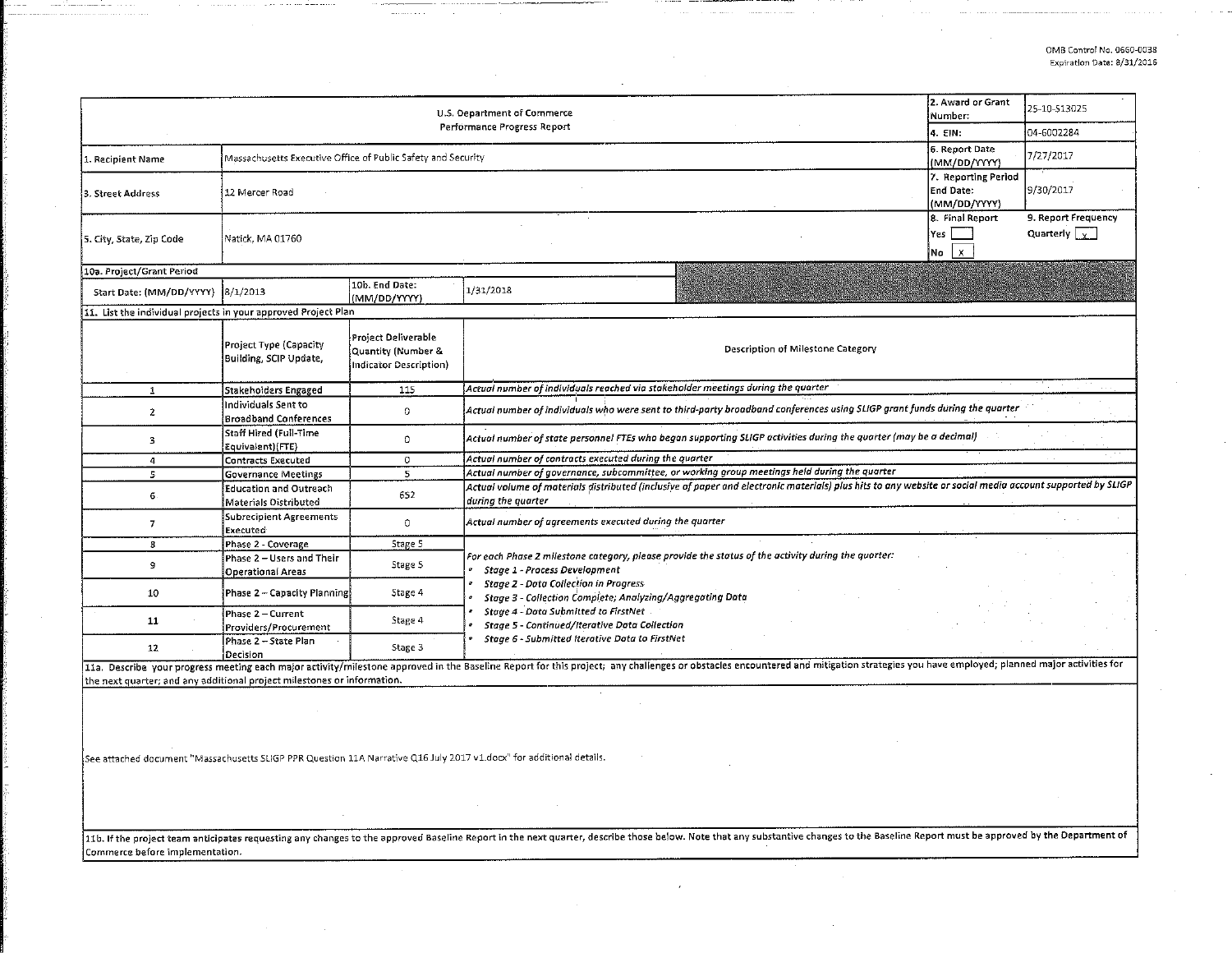| U.S. Department of Commerce                                             |                                                              |                                                                     |                                                                                                                                                                                                                                               | 2. Award or Grant<br>Number: | 25-10-513025 |  |  |  |
|-------------------------------------------------------------------------|--------------------------------------------------------------|---------------------------------------------------------------------|-----------------------------------------------------------------------------------------------------------------------------------------------------------------------------------------------------------------------------------------------|------------------------------|--------------|--|--|--|
|                                                                         |                                                              |                                                                     | Performance Progress Report                                                                                                                                                                                                                   | 4. EIN:                      | 04-6002284   |  |  |  |
| 1. Recipient Name                                                       | Massachusetts Executive Office of Public Safety and Security | 6. Report Date<br>(MM/DD/YYYY)                                      | 7/27/2017                                                                                                                                                                                                                                     |                              |              |  |  |  |
| 3. Street Address                                                       | 12 Mercer Road                                               | 7. Reporting Period<br>End Date:<br>(MM/DD/YYYY)                    |                                                                                                                                                                                                                                               |                              |              |  |  |  |
| 5. City, State, Zip Code                                                | Natick, MA 01760                                             | 8. Final Report<br>Yes<br> No                                       |                                                                                                                                                                                                                                               |                              |              |  |  |  |
| 10a. Project/Grant Period                                               |                                                              |                                                                     |                                                                                                                                                                                                                                               |                              |              |  |  |  |
| Start Date: (MM/DD/YYYY) 8/1/2013                                       |                                                              | 10b. End Date:<br>(MM/DD/YYYY)                                      | 1/31/2018                                                                                                                                                                                                                                     |                              |              |  |  |  |
| 11. List the individual projects in your approved Project Plan          |                                                              |                                                                     |                                                                                                                                                                                                                                               |                              |              |  |  |  |
|                                                                         | Project Type (Capacity<br>Building, SCIP Update,             | Project Deliverable<br>Quantity (Number &<br>Indicator Description) | Description of Milestone Category                                                                                                                                                                                                             |                              |              |  |  |  |
| $\mathbf{1}$                                                            | Stakeholders Engaged                                         | 115                                                                 | Actual number of individuals reached via stakeholder meetings during the quarter                                                                                                                                                              |                              |              |  |  |  |
| 2                                                                       | Individuals Sent to<br><b>Broadband Conferences</b>          | 0                                                                   | Actual number of individuals who were sent to third-party broadband conferences using SLIGP grant funds during the quarter                                                                                                                    |                              |              |  |  |  |
| 3                                                                       | Staff Hired (Full-Time<br>Equivalent)(FTE)                   | $\circ$                                                             | Actual number of state personnel FTEs who began supporting SLIGP activities during the quarter (may be a decimal)                                                                                                                             |                              |              |  |  |  |
| 4                                                                       | Contracts Executed                                           | 0                                                                   | Actual number of contracts executed during the quarter                                                                                                                                                                                        |                              |              |  |  |  |
| 5.                                                                      | <b>Governance Meetings</b>                                   | 5.                                                                  | Actual number of governance, subcommittee, or working group meetings held during the quarter                                                                                                                                                  |                              |              |  |  |  |
| 6.                                                                      | Education and Outreach<br>Materials Distributed              | 652                                                                 | Actual volume of materials distributed (inclusive of paper and electronic materials) plus hits to any website or social media account supported by SLIGP<br>during the quarter                                                                |                              |              |  |  |  |
| $\overline{ }$                                                          | Subrecipient Agreements<br>Executed                          | $\Omega$                                                            | Actual number of agreements executed during the quarter                                                                                                                                                                                       |                              |              |  |  |  |
| 8                                                                       | Phase 2 - Coverage                                           | Stage 5                                                             |                                                                                                                                                                                                                                               |                              |              |  |  |  |
| э                                                                       | Phase 2 - Users and Their<br><b>Operational Areas</b>        | Stage 5                                                             | For each Phase 2 milestone category, please provide the status of the activity during the quarter:<br>Stage 1 - Process Development                                                                                                           |                              |              |  |  |  |
| 10                                                                      | Phase 2 - Capacity Planning                                  | Stage 4                                                             | Stage 2 - Data Collection in Progress<br>Stage 3 - Collection Complete; Analyzing/Aggregating Data<br>Stage 4 - Data Submitted to FirstNet<br>Stage 5 - Continued/Iterative Data Collection<br>Stage 6 - Submitted Iterative Data to FirstNet |                              |              |  |  |  |
| 11                                                                      | Phase 2 - Current<br>Providers/Procurement                   | Stage 4                                                             |                                                                                                                                                                                                                                               |                              |              |  |  |  |
| 12                                                                      | Phase 2 - State Plan<br>Decision                             | Stage 3                                                             |                                                                                                                                                                                                                                               |                              |              |  |  |  |
| the next quarter; and any additional project milestones or information. |                                                              |                                                                     | 11a. Describe your progress meeting each major activity/milestone approved in the Baseline Report for this project; any challenges or obstacles encountered and mitigation strategies you have employed; planned major activit                |                              |              |  |  |  |

See attached document "Massachusetts SLIGP PPR Question llA Narrative Q16 July 2017 vl.docx" for additional details.

11b. If the project team anticipates requesting any changes to the approved Baseline Report in the next quarter, describe those below. Note that any substantive changes to the Baseline Report must be approved by the Depart Commerce before implementation.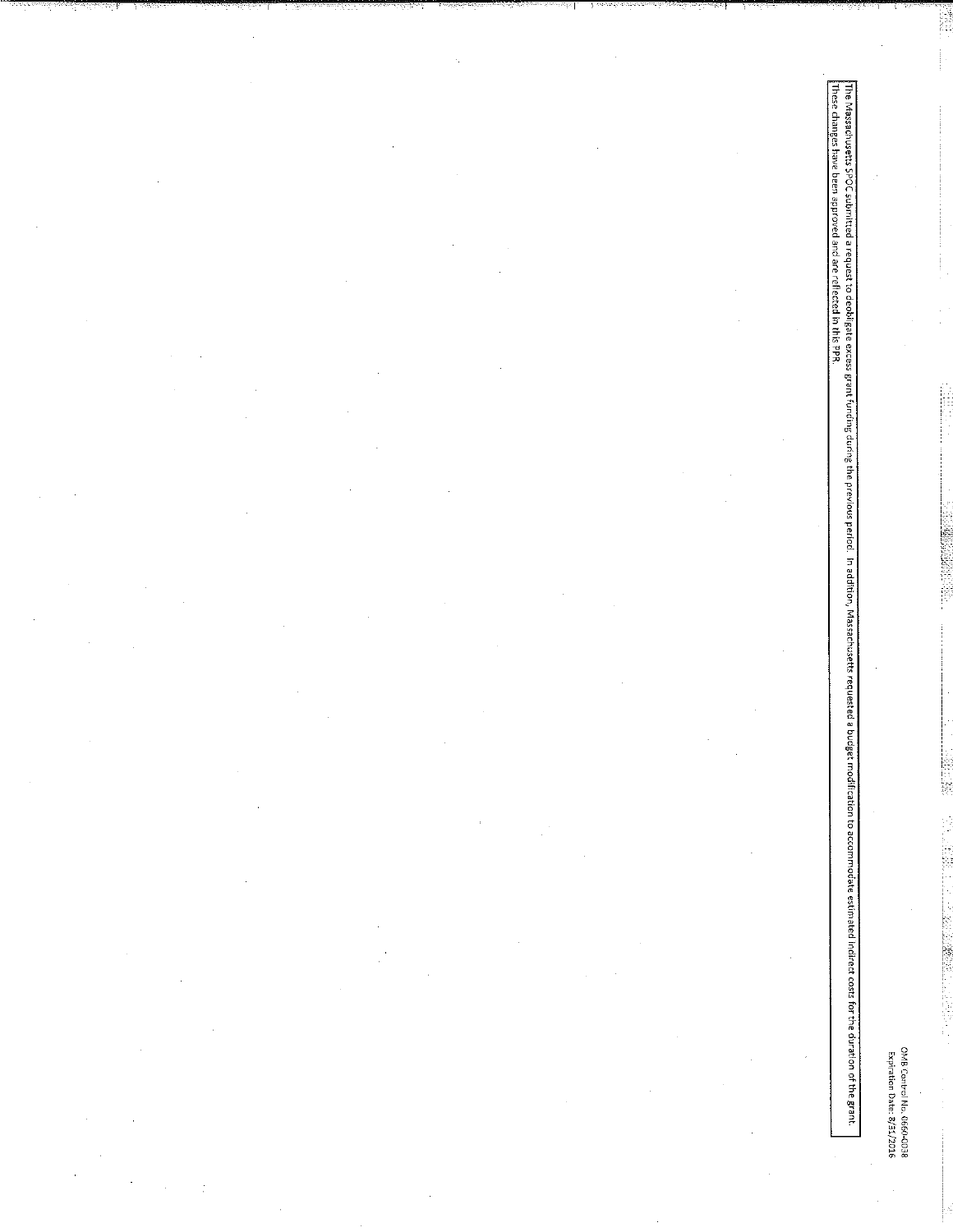OMB Control No. 0660-0038<br>Expiration Date: 8/31/2016

The Massachusetts SPOC submitted a request the decess grant funding the previous period. In addition, Massachusetts requested a budget modification to accommodate estimated indirect costs for the duration of the grant.<br>The

**LORE-CERATION** 

Ķ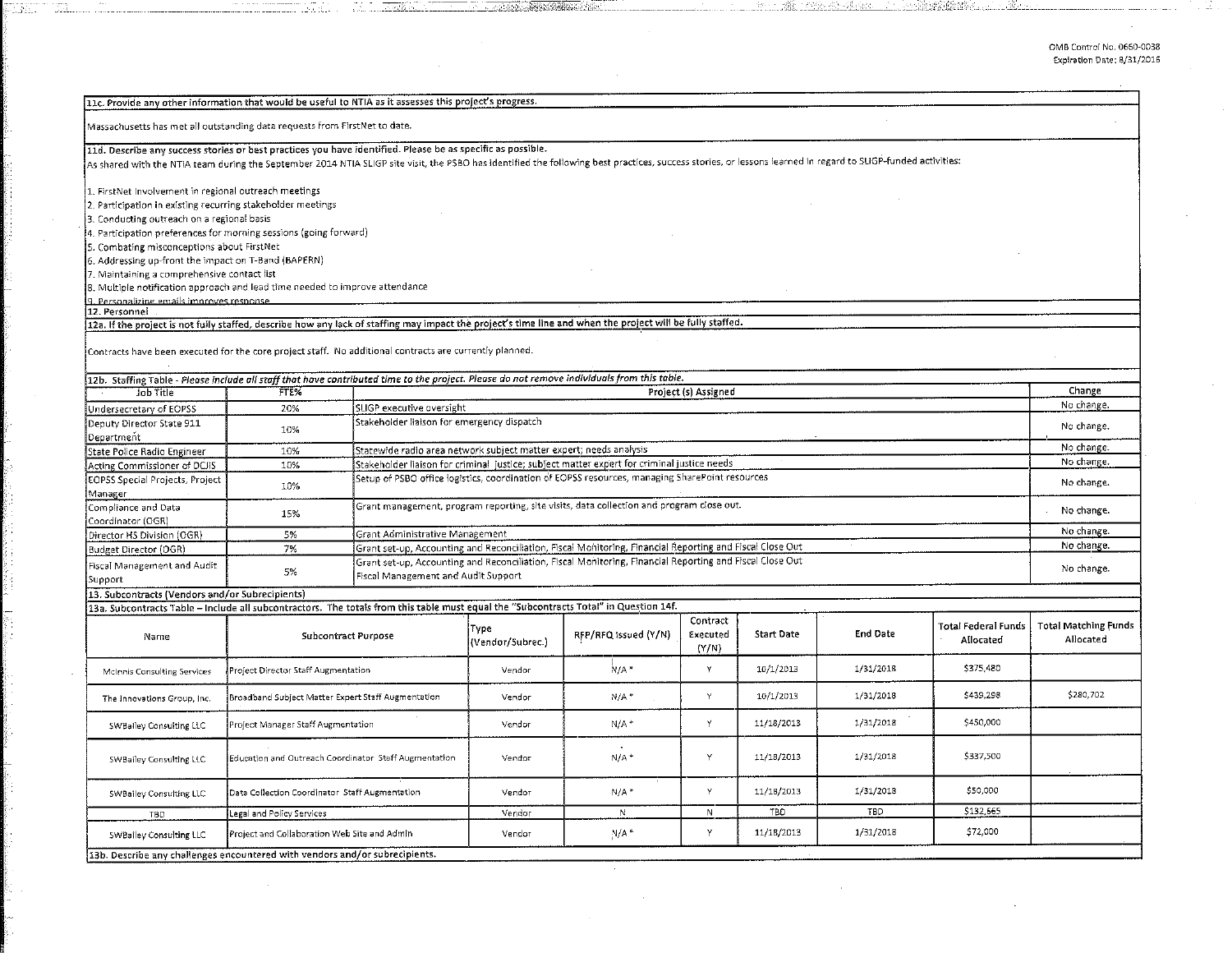0MB Control No. 0660-0038 Expiration Date: 8/31/2016

| As shared with the NTIA team during the September 2014 NTIA SLIGP site visit, the PSBO has identified the following best practices, success stories, or lessons learned in regard to SLIGP-funded activities:<br>1. FirstNet Involvement in regional outreach meetings<br>2. Participation in existing recurring stakeholder meetings<br>3. Conducting outreach on a regional basis<br>4. Participation preferences for morning sessions (going forward)<br>5. Combating misconceptions about FirstNet<br>6. Addressing up-front the impact on T-Band (BAPERN)<br>7. Maintaining a comprehensive contact list<br>8. Multiple notification approach and lead time needed to improve attendance<br>9. Personalizing emails improves response.<br>12a. If the project is not fully staffed, describe how any lack of staffing may impact the project's time line and when the project will be fully staffed.<br>12b. Staffing Table - Please include all staff that have contributed time to the project. Please do not remove individuals from this table.<br>Change<br>Project (s) Assigned<br>FTE%<br>Job Title<br>No change.<br>SLIGP executive oversight<br>20%<br>Stakeholder liaison for emergency dispatch<br>No change.<br>10%<br>No change.<br>Statewide radio area network subject matter expert; needs analysis<br>10%<br>No change.<br>Stakeholder liaison for criminal justice; subject matter expert for criminal justice needs<br>10%<br>Setup of PSBO office logistics, coordination of EOPSS resources, managing SharePoint resources<br>No change.<br>10%<br>Grant management, program reporting, site visits, data collection and program close out.<br>No change.<br>15%<br>Coordinator (OGR)<br>No change.<br>5%<br>Grant Administrative Management<br>No change.<br>Grant set-up, Accounting and Reconciliation, Fiscal Monitoring, Financial Reporting and Fiscal Close Out<br>7%<br>Grant set-up, Accounting and Reconciliation, Fiscal Monitoring, Financial Reporting and Fiscal Close Out<br>No change.<br>5%<br>Fiscal Management and Audit Support<br>Support<br>13. Subcontracts (Vendors and/or Subrecipients)<br>13a. Subcontracts Table - Include all subcontractors. The totals from this table must equal the "Subcontracts Total" in Question 14f.<br>Contract<br><b>Total Matching Funds</b><br><b>Total Federal Funds</b><br>Type<br><b>End Date</b><br>RFP/RFQ issued (Y/N)<br>Executed<br><b>Start Date</b><br><b>Subcontract Purpose</b><br>Name<br>Allocated<br>Allocated<br>(Vendor/Subrec.)<br>(Y/N)<br>\$375,480<br>$N/A$ *<br>Y<br>10/1/2013<br>1/31/2018<br>Project Director Staff Augmentation<br>Vendor<br>McInnis Consulting Services<br>\$439,298<br>\$280,702<br>Y<br>10/1/2013<br>1/31/2018<br>$N/A$ *<br>Broadband Subject Matter Expert Staff Augmentation<br>Vendor<br>The Innovations Group, Inc.<br>Y<br>1/31/2018<br>\$450,000<br>11/18/2013<br>$N/A$ <sup>+</sup><br>Project Manager Staff Augmentation<br>Vendor<br>SWBalley Consulting LLC<br>\$337,500<br>1/31/2018<br>Y<br>11/18/2013<br>$N/A$ <sup>*</sup><br>Education and Outreach Coordinator Staff Augmentation<br>Vendor<br>SWBailey Consulting LLC<br>Y<br>11/18/2013<br>1/31/2018<br>\$50,000<br>$N/A$ *<br>Data Collection Coordinator Staff Augmentation<br>Vendor<br>SWBailey Consulting LLC<br>\$132,665<br>TBD<br>TED<br>Legal and Policy Services<br>Vendor<br>N<br>N<br>TBD<br>\$72,000<br>Y<br>11/18/2013<br>1/31/2018<br>$N/A$ *<br>Project and Collaboration Web Site and Admin<br>Vendor<br>SWBailey Consulting LLC<br>13b. Describe any challenges encountered with vendors and/or subrecipients. | 11c. Provide any other information that would be useful to NTIA as it assesses this project's progress.     |  |  |  |  |  |  |  |  |  |
|-------------------------------------------------------------------------------------------------------------------------------------------------------------------------------------------------------------------------------------------------------------------------------------------------------------------------------------------------------------------------------------------------------------------------------------------------------------------------------------------------------------------------------------------------------------------------------------------------------------------------------------------------------------------------------------------------------------------------------------------------------------------------------------------------------------------------------------------------------------------------------------------------------------------------------------------------------------------------------------------------------------------------------------------------------------------------------------------------------------------------------------------------------------------------------------------------------------------------------------------------------------------------------------------------------------------------------------------------------------------------------------------------------------------------------------------------------------------------------------------------------------------------------------------------------------------------------------------------------------------------------------------------------------------------------------------------------------------------------------------------------------------------------------------------------------------------------------------------------------------------------------------------------------------------------------------------------------------------------------------------------------------------------------------------------------------------------------------------------------------------------------------------------------------------------------------------------------------------------------------------------------------------------------------------------------------------------------------------------------------------------------------------------------------------------------------------------------------------------------------------------------------------------------------------------------------------------------------------------------------------------------------------------------------------------------------------------------------------------------------------------------------------------------------------------------------------------------------------------------------------------------------------------------------------------------------------------------------------------------------------------------------------------------------------------------------------------------------------------------------------------------------------------------------------------------------------------------------------------------------------------------------------------------------------------------------------------------------------------------------------------------------------------------------------------------------------------------------------------------------------------------------------------------------------------------------------------------------------------------------------------------|-------------------------------------------------------------------------------------------------------------|--|--|--|--|--|--|--|--|--|
|                                                                                                                                                                                                                                                                                                                                                                                                                                                                                                                                                                                                                                                                                                                                                                                                                                                                                                                                                                                                                                                                                                                                                                                                                                                                                                                                                                                                                                                                                                                                                                                                                                                                                                                                                                                                                                                                                                                                                                                                                                                                                                                                                                                                                                                                                                                                                                                                                                                                                                                                                                                                                                                                                                                                                                                                                                                                                                                                                                                                                                                                                                                                                                                                                                                                                                                                                                                                                                                                                                                                                                                                                                     |                                                                                                             |  |  |  |  |  |  |  |  |  |
|                                                                                                                                                                                                                                                                                                                                                                                                                                                                                                                                                                                                                                                                                                                                                                                                                                                                                                                                                                                                                                                                                                                                                                                                                                                                                                                                                                                                                                                                                                                                                                                                                                                                                                                                                                                                                                                                                                                                                                                                                                                                                                                                                                                                                                                                                                                                                                                                                                                                                                                                                                                                                                                                                                                                                                                                                                                                                                                                                                                                                                                                                                                                                                                                                                                                                                                                                                                                                                                                                                                                                                                                                                     | Massachusetts has met all outstanding data requests from FirstNet to date.                                  |  |  |  |  |  |  |  |  |  |
|                                                                                                                                                                                                                                                                                                                                                                                                                                                                                                                                                                                                                                                                                                                                                                                                                                                                                                                                                                                                                                                                                                                                                                                                                                                                                                                                                                                                                                                                                                                                                                                                                                                                                                                                                                                                                                                                                                                                                                                                                                                                                                                                                                                                                                                                                                                                                                                                                                                                                                                                                                                                                                                                                                                                                                                                                                                                                                                                                                                                                                                                                                                                                                                                                                                                                                                                                                                                                                                                                                                                                                                                                                     | 11d. Describe any success stories or best practices you have identified. Please be as specific as possible. |  |  |  |  |  |  |  |  |  |
|                                                                                                                                                                                                                                                                                                                                                                                                                                                                                                                                                                                                                                                                                                                                                                                                                                                                                                                                                                                                                                                                                                                                                                                                                                                                                                                                                                                                                                                                                                                                                                                                                                                                                                                                                                                                                                                                                                                                                                                                                                                                                                                                                                                                                                                                                                                                                                                                                                                                                                                                                                                                                                                                                                                                                                                                                                                                                                                                                                                                                                                                                                                                                                                                                                                                                                                                                                                                                                                                                                                                                                                                                                     |                                                                                                             |  |  |  |  |  |  |  |  |  |
|                                                                                                                                                                                                                                                                                                                                                                                                                                                                                                                                                                                                                                                                                                                                                                                                                                                                                                                                                                                                                                                                                                                                                                                                                                                                                                                                                                                                                                                                                                                                                                                                                                                                                                                                                                                                                                                                                                                                                                                                                                                                                                                                                                                                                                                                                                                                                                                                                                                                                                                                                                                                                                                                                                                                                                                                                                                                                                                                                                                                                                                                                                                                                                                                                                                                                                                                                                                                                                                                                                                                                                                                                                     |                                                                                                             |  |  |  |  |  |  |  |  |  |
|                                                                                                                                                                                                                                                                                                                                                                                                                                                                                                                                                                                                                                                                                                                                                                                                                                                                                                                                                                                                                                                                                                                                                                                                                                                                                                                                                                                                                                                                                                                                                                                                                                                                                                                                                                                                                                                                                                                                                                                                                                                                                                                                                                                                                                                                                                                                                                                                                                                                                                                                                                                                                                                                                                                                                                                                                                                                                                                                                                                                                                                                                                                                                                                                                                                                                                                                                                                                                                                                                                                                                                                                                                     |                                                                                                             |  |  |  |  |  |  |  |  |  |
|                                                                                                                                                                                                                                                                                                                                                                                                                                                                                                                                                                                                                                                                                                                                                                                                                                                                                                                                                                                                                                                                                                                                                                                                                                                                                                                                                                                                                                                                                                                                                                                                                                                                                                                                                                                                                                                                                                                                                                                                                                                                                                                                                                                                                                                                                                                                                                                                                                                                                                                                                                                                                                                                                                                                                                                                                                                                                                                                                                                                                                                                                                                                                                                                                                                                                                                                                                                                                                                                                                                                                                                                                                     |                                                                                                             |  |  |  |  |  |  |  |  |  |
|                                                                                                                                                                                                                                                                                                                                                                                                                                                                                                                                                                                                                                                                                                                                                                                                                                                                                                                                                                                                                                                                                                                                                                                                                                                                                                                                                                                                                                                                                                                                                                                                                                                                                                                                                                                                                                                                                                                                                                                                                                                                                                                                                                                                                                                                                                                                                                                                                                                                                                                                                                                                                                                                                                                                                                                                                                                                                                                                                                                                                                                                                                                                                                                                                                                                                                                                                                                                                                                                                                                                                                                                                                     |                                                                                                             |  |  |  |  |  |  |  |  |  |
|                                                                                                                                                                                                                                                                                                                                                                                                                                                                                                                                                                                                                                                                                                                                                                                                                                                                                                                                                                                                                                                                                                                                                                                                                                                                                                                                                                                                                                                                                                                                                                                                                                                                                                                                                                                                                                                                                                                                                                                                                                                                                                                                                                                                                                                                                                                                                                                                                                                                                                                                                                                                                                                                                                                                                                                                                                                                                                                                                                                                                                                                                                                                                                                                                                                                                                                                                                                                                                                                                                                                                                                                                                     |                                                                                                             |  |  |  |  |  |  |  |  |  |
|                                                                                                                                                                                                                                                                                                                                                                                                                                                                                                                                                                                                                                                                                                                                                                                                                                                                                                                                                                                                                                                                                                                                                                                                                                                                                                                                                                                                                                                                                                                                                                                                                                                                                                                                                                                                                                                                                                                                                                                                                                                                                                                                                                                                                                                                                                                                                                                                                                                                                                                                                                                                                                                                                                                                                                                                                                                                                                                                                                                                                                                                                                                                                                                                                                                                                                                                                                                                                                                                                                                                                                                                                                     |                                                                                                             |  |  |  |  |  |  |  |  |  |
|                                                                                                                                                                                                                                                                                                                                                                                                                                                                                                                                                                                                                                                                                                                                                                                                                                                                                                                                                                                                                                                                                                                                                                                                                                                                                                                                                                                                                                                                                                                                                                                                                                                                                                                                                                                                                                                                                                                                                                                                                                                                                                                                                                                                                                                                                                                                                                                                                                                                                                                                                                                                                                                                                                                                                                                                                                                                                                                                                                                                                                                                                                                                                                                                                                                                                                                                                                                                                                                                                                                                                                                                                                     |                                                                                                             |  |  |  |  |  |  |  |  |  |
|                                                                                                                                                                                                                                                                                                                                                                                                                                                                                                                                                                                                                                                                                                                                                                                                                                                                                                                                                                                                                                                                                                                                                                                                                                                                                                                                                                                                                                                                                                                                                                                                                                                                                                                                                                                                                                                                                                                                                                                                                                                                                                                                                                                                                                                                                                                                                                                                                                                                                                                                                                                                                                                                                                                                                                                                                                                                                                                                                                                                                                                                                                                                                                                                                                                                                                                                                                                                                                                                                                                                                                                                                                     |                                                                                                             |  |  |  |  |  |  |  |  |  |
|                                                                                                                                                                                                                                                                                                                                                                                                                                                                                                                                                                                                                                                                                                                                                                                                                                                                                                                                                                                                                                                                                                                                                                                                                                                                                                                                                                                                                                                                                                                                                                                                                                                                                                                                                                                                                                                                                                                                                                                                                                                                                                                                                                                                                                                                                                                                                                                                                                                                                                                                                                                                                                                                                                                                                                                                                                                                                                                                                                                                                                                                                                                                                                                                                                                                                                                                                                                                                                                                                                                                                                                                                                     | 12. Personnel                                                                                               |  |  |  |  |  |  |  |  |  |
|                                                                                                                                                                                                                                                                                                                                                                                                                                                                                                                                                                                                                                                                                                                                                                                                                                                                                                                                                                                                                                                                                                                                                                                                                                                                                                                                                                                                                                                                                                                                                                                                                                                                                                                                                                                                                                                                                                                                                                                                                                                                                                                                                                                                                                                                                                                                                                                                                                                                                                                                                                                                                                                                                                                                                                                                                                                                                                                                                                                                                                                                                                                                                                                                                                                                                                                                                                                                                                                                                                                                                                                                                                     |                                                                                                             |  |  |  |  |  |  |  |  |  |
|                                                                                                                                                                                                                                                                                                                                                                                                                                                                                                                                                                                                                                                                                                                                                                                                                                                                                                                                                                                                                                                                                                                                                                                                                                                                                                                                                                                                                                                                                                                                                                                                                                                                                                                                                                                                                                                                                                                                                                                                                                                                                                                                                                                                                                                                                                                                                                                                                                                                                                                                                                                                                                                                                                                                                                                                                                                                                                                                                                                                                                                                                                                                                                                                                                                                                                                                                                                                                                                                                                                                                                                                                                     | Contracts have been executed for the core project staff. No additional contracts are currently planned.     |  |  |  |  |  |  |  |  |  |
|                                                                                                                                                                                                                                                                                                                                                                                                                                                                                                                                                                                                                                                                                                                                                                                                                                                                                                                                                                                                                                                                                                                                                                                                                                                                                                                                                                                                                                                                                                                                                                                                                                                                                                                                                                                                                                                                                                                                                                                                                                                                                                                                                                                                                                                                                                                                                                                                                                                                                                                                                                                                                                                                                                                                                                                                                                                                                                                                                                                                                                                                                                                                                                                                                                                                                                                                                                                                                                                                                                                                                                                                                                     |                                                                                                             |  |  |  |  |  |  |  |  |  |
|                                                                                                                                                                                                                                                                                                                                                                                                                                                                                                                                                                                                                                                                                                                                                                                                                                                                                                                                                                                                                                                                                                                                                                                                                                                                                                                                                                                                                                                                                                                                                                                                                                                                                                                                                                                                                                                                                                                                                                                                                                                                                                                                                                                                                                                                                                                                                                                                                                                                                                                                                                                                                                                                                                                                                                                                                                                                                                                                                                                                                                                                                                                                                                                                                                                                                                                                                                                                                                                                                                                                                                                                                                     |                                                                                                             |  |  |  |  |  |  |  |  |  |
|                                                                                                                                                                                                                                                                                                                                                                                                                                                                                                                                                                                                                                                                                                                                                                                                                                                                                                                                                                                                                                                                                                                                                                                                                                                                                                                                                                                                                                                                                                                                                                                                                                                                                                                                                                                                                                                                                                                                                                                                                                                                                                                                                                                                                                                                                                                                                                                                                                                                                                                                                                                                                                                                                                                                                                                                                                                                                                                                                                                                                                                                                                                                                                                                                                                                                                                                                                                                                                                                                                                                                                                                                                     | Undersecretary of EOPSS                                                                                     |  |  |  |  |  |  |  |  |  |
|                                                                                                                                                                                                                                                                                                                                                                                                                                                                                                                                                                                                                                                                                                                                                                                                                                                                                                                                                                                                                                                                                                                                                                                                                                                                                                                                                                                                                                                                                                                                                                                                                                                                                                                                                                                                                                                                                                                                                                                                                                                                                                                                                                                                                                                                                                                                                                                                                                                                                                                                                                                                                                                                                                                                                                                                                                                                                                                                                                                                                                                                                                                                                                                                                                                                                                                                                                                                                                                                                                                                                                                                                                     | Deputy Director State 911<br>Department                                                                     |  |  |  |  |  |  |  |  |  |
|                                                                                                                                                                                                                                                                                                                                                                                                                                                                                                                                                                                                                                                                                                                                                                                                                                                                                                                                                                                                                                                                                                                                                                                                                                                                                                                                                                                                                                                                                                                                                                                                                                                                                                                                                                                                                                                                                                                                                                                                                                                                                                                                                                                                                                                                                                                                                                                                                                                                                                                                                                                                                                                                                                                                                                                                                                                                                                                                                                                                                                                                                                                                                                                                                                                                                                                                                                                                                                                                                                                                                                                                                                     | State Police Radio Engineer                                                                                 |  |  |  |  |  |  |  |  |  |
|                                                                                                                                                                                                                                                                                                                                                                                                                                                                                                                                                                                                                                                                                                                                                                                                                                                                                                                                                                                                                                                                                                                                                                                                                                                                                                                                                                                                                                                                                                                                                                                                                                                                                                                                                                                                                                                                                                                                                                                                                                                                                                                                                                                                                                                                                                                                                                                                                                                                                                                                                                                                                                                                                                                                                                                                                                                                                                                                                                                                                                                                                                                                                                                                                                                                                                                                                                                                                                                                                                                                                                                                                                     | Acting Commissioner of DCJIS                                                                                |  |  |  |  |  |  |  |  |  |
|                                                                                                                                                                                                                                                                                                                                                                                                                                                                                                                                                                                                                                                                                                                                                                                                                                                                                                                                                                                                                                                                                                                                                                                                                                                                                                                                                                                                                                                                                                                                                                                                                                                                                                                                                                                                                                                                                                                                                                                                                                                                                                                                                                                                                                                                                                                                                                                                                                                                                                                                                                                                                                                                                                                                                                                                                                                                                                                                                                                                                                                                                                                                                                                                                                                                                                                                                                                                                                                                                                                                                                                                                                     | EOPSS Special Projects, Project<br>Manager                                                                  |  |  |  |  |  |  |  |  |  |
|                                                                                                                                                                                                                                                                                                                                                                                                                                                                                                                                                                                                                                                                                                                                                                                                                                                                                                                                                                                                                                                                                                                                                                                                                                                                                                                                                                                                                                                                                                                                                                                                                                                                                                                                                                                                                                                                                                                                                                                                                                                                                                                                                                                                                                                                                                                                                                                                                                                                                                                                                                                                                                                                                                                                                                                                                                                                                                                                                                                                                                                                                                                                                                                                                                                                                                                                                                                                                                                                                                                                                                                                                                     | Compliance and Data                                                                                         |  |  |  |  |  |  |  |  |  |
|                                                                                                                                                                                                                                                                                                                                                                                                                                                                                                                                                                                                                                                                                                                                                                                                                                                                                                                                                                                                                                                                                                                                                                                                                                                                                                                                                                                                                                                                                                                                                                                                                                                                                                                                                                                                                                                                                                                                                                                                                                                                                                                                                                                                                                                                                                                                                                                                                                                                                                                                                                                                                                                                                                                                                                                                                                                                                                                                                                                                                                                                                                                                                                                                                                                                                                                                                                                                                                                                                                                                                                                                                                     | Director HS Division (OGR)                                                                                  |  |  |  |  |  |  |  |  |  |
|                                                                                                                                                                                                                                                                                                                                                                                                                                                                                                                                                                                                                                                                                                                                                                                                                                                                                                                                                                                                                                                                                                                                                                                                                                                                                                                                                                                                                                                                                                                                                                                                                                                                                                                                                                                                                                                                                                                                                                                                                                                                                                                                                                                                                                                                                                                                                                                                                                                                                                                                                                                                                                                                                                                                                                                                                                                                                                                                                                                                                                                                                                                                                                                                                                                                                                                                                                                                                                                                                                                                                                                                                                     | Budget Director (OGR)                                                                                       |  |  |  |  |  |  |  |  |  |
|                                                                                                                                                                                                                                                                                                                                                                                                                                                                                                                                                                                                                                                                                                                                                                                                                                                                                                                                                                                                                                                                                                                                                                                                                                                                                                                                                                                                                                                                                                                                                                                                                                                                                                                                                                                                                                                                                                                                                                                                                                                                                                                                                                                                                                                                                                                                                                                                                                                                                                                                                                                                                                                                                                                                                                                                                                                                                                                                                                                                                                                                                                                                                                                                                                                                                                                                                                                                                                                                                                                                                                                                                                     | Fiscal Management and Audit                                                                                 |  |  |  |  |  |  |  |  |  |
|                                                                                                                                                                                                                                                                                                                                                                                                                                                                                                                                                                                                                                                                                                                                                                                                                                                                                                                                                                                                                                                                                                                                                                                                                                                                                                                                                                                                                                                                                                                                                                                                                                                                                                                                                                                                                                                                                                                                                                                                                                                                                                                                                                                                                                                                                                                                                                                                                                                                                                                                                                                                                                                                                                                                                                                                                                                                                                                                                                                                                                                                                                                                                                                                                                                                                                                                                                                                                                                                                                                                                                                                                                     |                                                                                                             |  |  |  |  |  |  |  |  |  |
|                                                                                                                                                                                                                                                                                                                                                                                                                                                                                                                                                                                                                                                                                                                                                                                                                                                                                                                                                                                                                                                                                                                                                                                                                                                                                                                                                                                                                                                                                                                                                                                                                                                                                                                                                                                                                                                                                                                                                                                                                                                                                                                                                                                                                                                                                                                                                                                                                                                                                                                                                                                                                                                                                                                                                                                                                                                                                                                                                                                                                                                                                                                                                                                                                                                                                                                                                                                                                                                                                                                                                                                                                                     |                                                                                                             |  |  |  |  |  |  |  |  |  |
|                                                                                                                                                                                                                                                                                                                                                                                                                                                                                                                                                                                                                                                                                                                                                                                                                                                                                                                                                                                                                                                                                                                                                                                                                                                                                                                                                                                                                                                                                                                                                                                                                                                                                                                                                                                                                                                                                                                                                                                                                                                                                                                                                                                                                                                                                                                                                                                                                                                                                                                                                                                                                                                                                                                                                                                                                                                                                                                                                                                                                                                                                                                                                                                                                                                                                                                                                                                                                                                                                                                                                                                                                                     |                                                                                                             |  |  |  |  |  |  |  |  |  |
|                                                                                                                                                                                                                                                                                                                                                                                                                                                                                                                                                                                                                                                                                                                                                                                                                                                                                                                                                                                                                                                                                                                                                                                                                                                                                                                                                                                                                                                                                                                                                                                                                                                                                                                                                                                                                                                                                                                                                                                                                                                                                                                                                                                                                                                                                                                                                                                                                                                                                                                                                                                                                                                                                                                                                                                                                                                                                                                                                                                                                                                                                                                                                                                                                                                                                                                                                                                                                                                                                                                                                                                                                                     |                                                                                                             |  |  |  |  |  |  |  |  |  |
|                                                                                                                                                                                                                                                                                                                                                                                                                                                                                                                                                                                                                                                                                                                                                                                                                                                                                                                                                                                                                                                                                                                                                                                                                                                                                                                                                                                                                                                                                                                                                                                                                                                                                                                                                                                                                                                                                                                                                                                                                                                                                                                                                                                                                                                                                                                                                                                                                                                                                                                                                                                                                                                                                                                                                                                                                                                                                                                                                                                                                                                                                                                                                                                                                                                                                                                                                                                                                                                                                                                                                                                                                                     |                                                                                                             |  |  |  |  |  |  |  |  |  |
|                                                                                                                                                                                                                                                                                                                                                                                                                                                                                                                                                                                                                                                                                                                                                                                                                                                                                                                                                                                                                                                                                                                                                                                                                                                                                                                                                                                                                                                                                                                                                                                                                                                                                                                                                                                                                                                                                                                                                                                                                                                                                                                                                                                                                                                                                                                                                                                                                                                                                                                                                                                                                                                                                                                                                                                                                                                                                                                                                                                                                                                                                                                                                                                                                                                                                                                                                                                                                                                                                                                                                                                                                                     |                                                                                                             |  |  |  |  |  |  |  |  |  |
|                                                                                                                                                                                                                                                                                                                                                                                                                                                                                                                                                                                                                                                                                                                                                                                                                                                                                                                                                                                                                                                                                                                                                                                                                                                                                                                                                                                                                                                                                                                                                                                                                                                                                                                                                                                                                                                                                                                                                                                                                                                                                                                                                                                                                                                                                                                                                                                                                                                                                                                                                                                                                                                                                                                                                                                                                                                                                                                                                                                                                                                                                                                                                                                                                                                                                                                                                                                                                                                                                                                                                                                                                                     |                                                                                                             |  |  |  |  |  |  |  |  |  |
|                                                                                                                                                                                                                                                                                                                                                                                                                                                                                                                                                                                                                                                                                                                                                                                                                                                                                                                                                                                                                                                                                                                                                                                                                                                                                                                                                                                                                                                                                                                                                                                                                                                                                                                                                                                                                                                                                                                                                                                                                                                                                                                                                                                                                                                                                                                                                                                                                                                                                                                                                                                                                                                                                                                                                                                                                                                                                                                                                                                                                                                                                                                                                                                                                                                                                                                                                                                                                                                                                                                                                                                                                                     |                                                                                                             |  |  |  |  |  |  |  |  |  |
|                                                                                                                                                                                                                                                                                                                                                                                                                                                                                                                                                                                                                                                                                                                                                                                                                                                                                                                                                                                                                                                                                                                                                                                                                                                                                                                                                                                                                                                                                                                                                                                                                                                                                                                                                                                                                                                                                                                                                                                                                                                                                                                                                                                                                                                                                                                                                                                                                                                                                                                                                                                                                                                                                                                                                                                                                                                                                                                                                                                                                                                                                                                                                                                                                                                                                                                                                                                                                                                                                                                                                                                                                                     |                                                                                                             |  |  |  |  |  |  |  |  |  |
|                                                                                                                                                                                                                                                                                                                                                                                                                                                                                                                                                                                                                                                                                                                                                                                                                                                                                                                                                                                                                                                                                                                                                                                                                                                                                                                                                                                                                                                                                                                                                                                                                                                                                                                                                                                                                                                                                                                                                                                                                                                                                                                                                                                                                                                                                                                                                                                                                                                                                                                                                                                                                                                                                                                                                                                                                                                                                                                                                                                                                                                                                                                                                                                                                                                                                                                                                                                                                                                                                                                                                                                                                                     |                                                                                                             |  |  |  |  |  |  |  |  |  |
|                                                                                                                                                                                                                                                                                                                                                                                                                                                                                                                                                                                                                                                                                                                                                                                                                                                                                                                                                                                                                                                                                                                                                                                                                                                                                                                                                                                                                                                                                                                                                                                                                                                                                                                                                                                                                                                                                                                                                                                                                                                                                                                                                                                                                                                                                                                                                                                                                                                                                                                                                                                                                                                                                                                                                                                                                                                                                                                                                                                                                                                                                                                                                                                                                                                                                                                                                                                                                                                                                                                                                                                                                                     |                                                                                                             |  |  |  |  |  |  |  |  |  |

 $~\ldots~\ldots~\ldots~\ldots~\ldots~$ 

 $\frac{d\hat{R}}{d\hat{R}}$  ,  $\frac{d\hat{r}d\hat{r}}{d\hat{r}}$  ,  $\frac{d\hat{r}}{d\hat{r}}$  ,  $\frac{d\hat{r}}{d\hat{r}}$  ,  $\frac{d\hat{r}}{d\hat{r}}$  ,  $\frac{d\hat{r}}{d\hat{r}}$  ,  $\frac{d\hat{r}}{d\hat{r}}$  ,  $\frac{d\hat{r}}{d\hat{r}}$  ,  $\frac{d\hat{r}}{d\hat{r}}$  ,  $\frac{d\hat{r}}{d\hat{r}}$  ,  $\frac{d$ 

a a dhe mar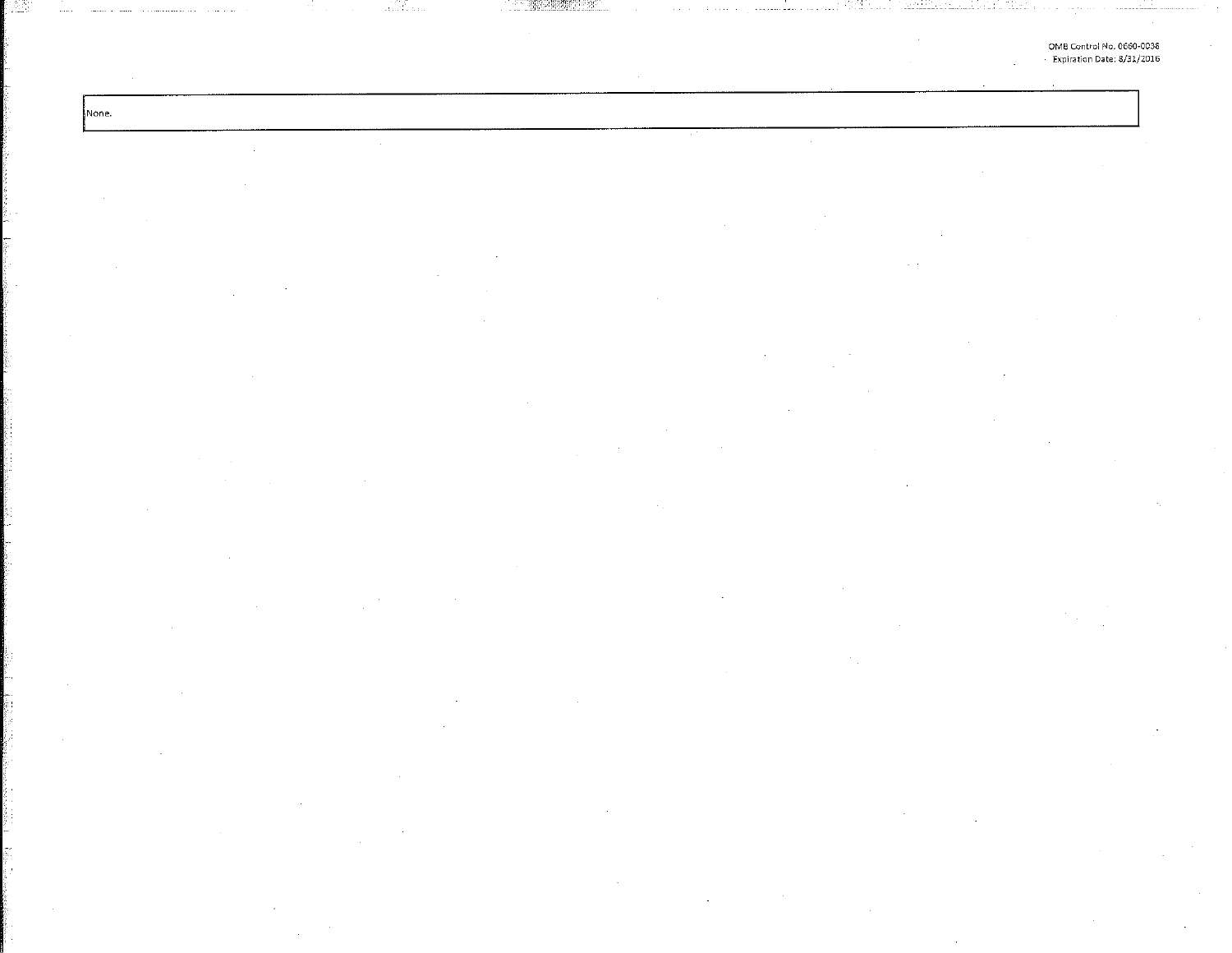OMB Control No. 0660-0038 Expiration Date: 8/31/2016

 $\sim$ 

alifan

None.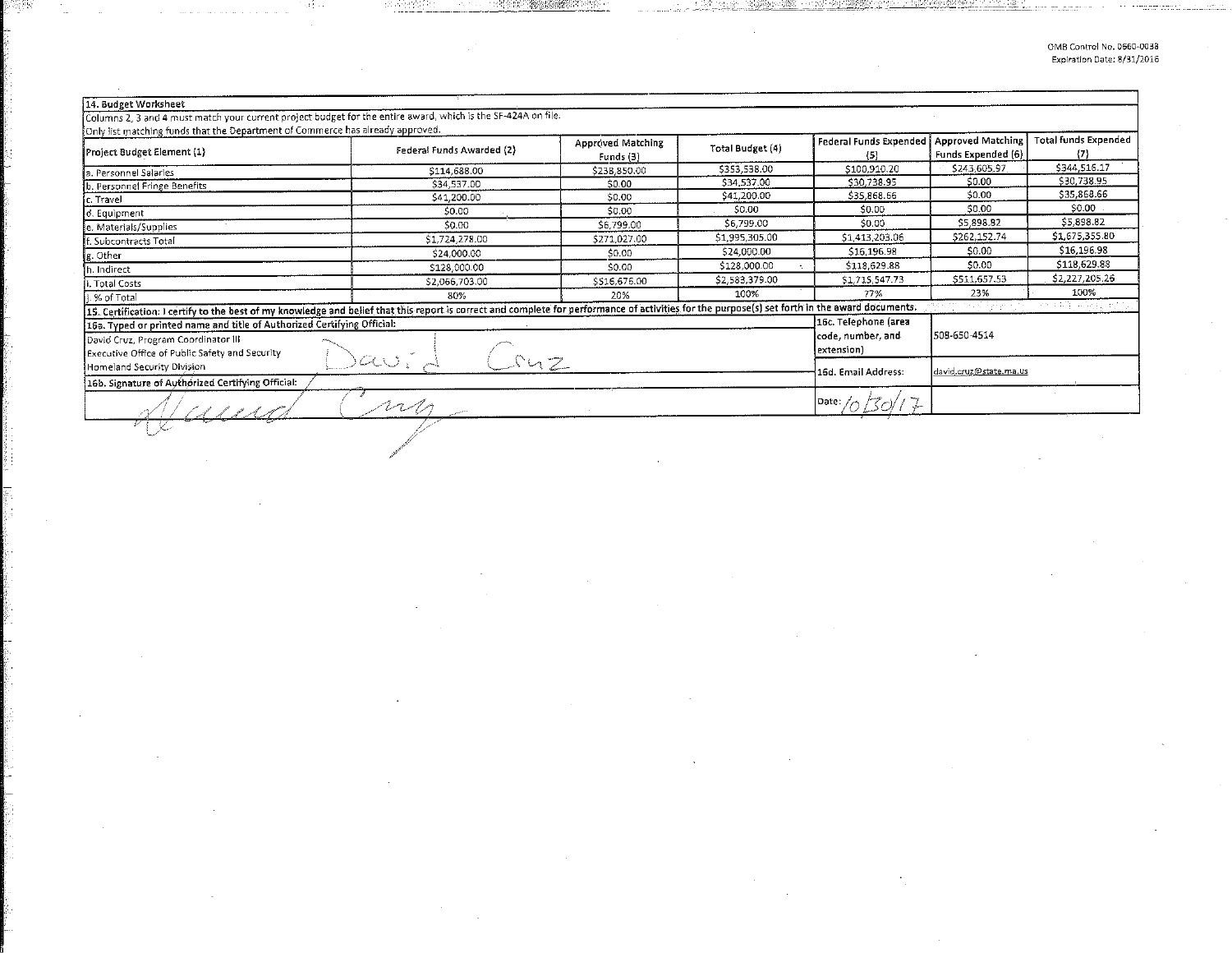| 14. Budget Worksheet                                                                                                                                                                            |                     |                                |                  |                        |                    |                             |
|-------------------------------------------------------------------------------------------------------------------------------------------------------------------------------------------------|---------------------|--------------------------------|------------------|------------------------|--------------------|-----------------------------|
| Columns 2, 3 and 4 must match your current project budget for the entire award, which is the SF-424A on file.                                                                                   |                     |                                |                  |                        |                    |                             |
| Only list matching funds that the Department of Commerce has already approved.                                                                                                                  |                     |                                |                  | Federal Funds Expended | Approved Matching  | <b>Total funds Expended</b> |
| Federal Funds Awarded (2)<br>Project Budget Element (1)                                                                                                                                         |                     | Approved Matching<br>Funds (3) | Total Budget (4) | (5)                    | Funds Expended (6) | $\{7\}$                     |
| a. Personnel Salaries                                                                                                                                                                           | \$114,688.00        | \$238,850.00                   | \$353,538.00     | \$100.910.20           | \$243.605.97       |                             |
| b. Personnel Fringe Benefits                                                                                                                                                                    | \$34,537.00         | \$0.00                         | \$34,537.00      | \$30,738.95            | \$0.00             | \$30,738.95                 |
| lc. Travel                                                                                                                                                                                      | \$41,200.00         | 50.00                          | \$41,200.00      | \$35,868.66            | \$0.00             | \$35,868.66                 |
| d. Equipment                                                                                                                                                                                    | \$0.00              | \$0.00                         | \$0.00           | \$0.00                 | \$0.00             | \$0.00                      |
| e. Materials/Supplies                                                                                                                                                                           | \$0.00              | \$6,799.00                     | \$6,799.00       | \$0.00                 | \$5,898.82         | \$5,898.82                  |
| f. Subcontracts Total                                                                                                                                                                           | \$1,724,278.00      | \$271,027.00                   | \$1,995,305.00   | \$1,413,203.06         | \$262,152.74       | \$1,675,355.80              |
| g. Other                                                                                                                                                                                        | \$24,000.00         | \$0.00                         | \$24,000.00      | \$16,196.98            | \$0.00             | \$16,196.98                 |
| . Indirect                                                                                                                                                                                      | \$128,000.00        | \$0.00                         | \$128,000.00     | \$118,629.88           | \$0.00             | \$118,629.88                |
| Total Costs                                                                                                                                                                                     | \$2,066,703.00      | \$516,676.00                   | \$2,583,379.00   | \$1,715,547.73         | \$511,657.53       | \$2,227,205.26              |
| % of Total                                                                                                                                                                                      | 80%                 | 20%                            | 100%             | 77%                    | 23%                | 100%                        |
| 15. Certification: I certify to the best of my knowledge and belief that this report is correct and complete for performance of activities for the purpose(s) set forth in the award documents. |                     |                                |                  |                        | e Kirken olan I    | 문학 바일 공원들                   |
| 16c. Telephone (area<br>16a. Typed or printed name and title of Authorized Certifying Official:                                                                                                 |                     |                                |                  |                        |                    |                             |
| David Cruz, Program Coordinator III                                                                                                                                                             | code, number, and   | 508-650-4514                   |                  |                        |                    |                             |
| Executive Office of Public Safety and Security                                                                                                                                                  |                     | extension)                     |                  |                        |                    |                             |
| Homeland Security Division                                                                                                                                                                      | 16d. Email Address: | david.cruz@state.ma.us         |                  |                        |                    |                             |
| 16b. Signature of Authorized Certifying Official:                                                                                                                                               |                     |                                |                  |                        |                    |                             |
|                                                                                                                                                                                                 | Date:               |                                |                  |                        |                    |                             |
|                                                                                                                                                                                                 |                     |                                |                  |                        |                    |                             |

 $\sim$ 

 $\sim 10^7$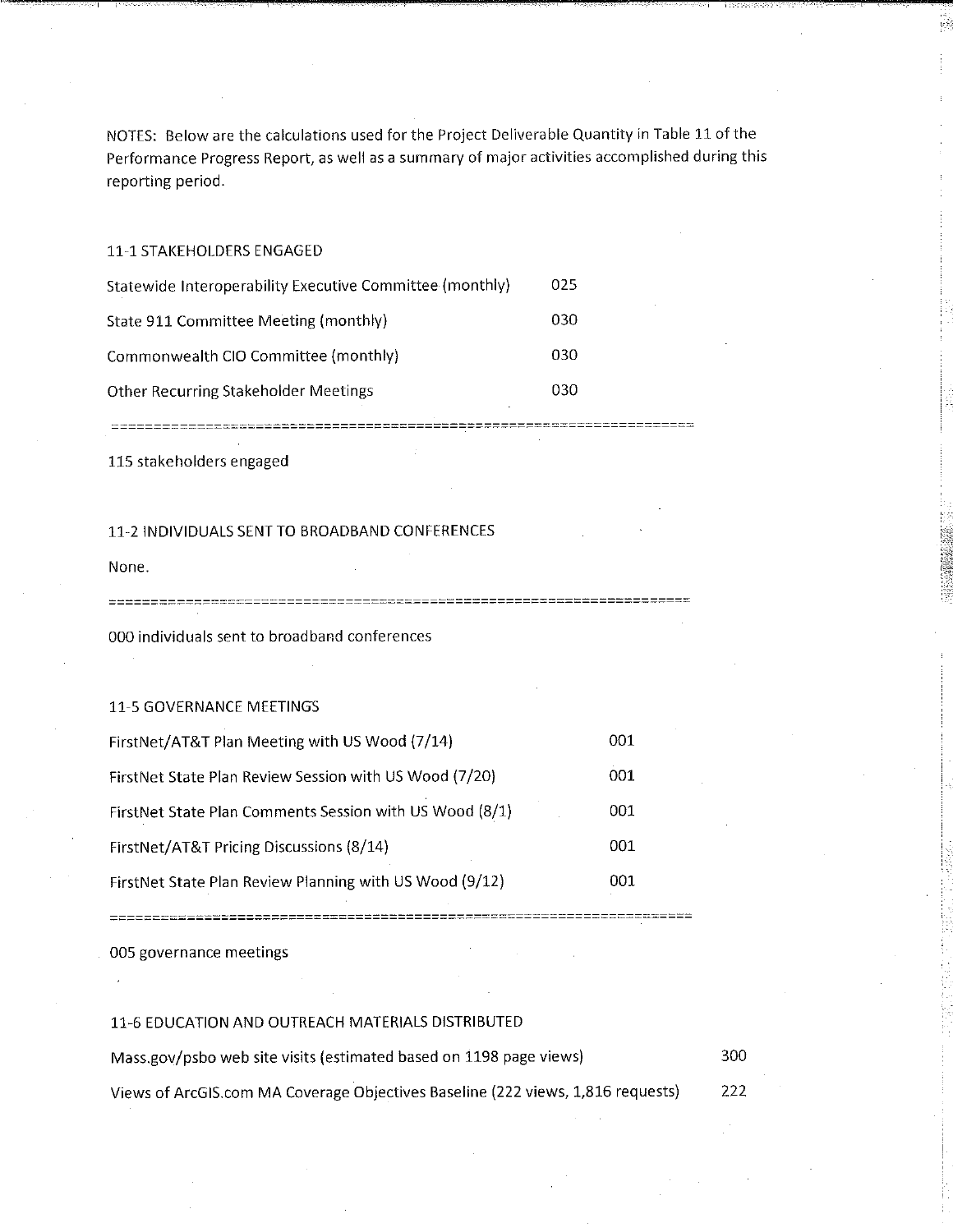NOTES: Below are the calculations used for the Project Deliverable Quantity in Table 11 of the Performance Progress Report, as well as a summary of major activities accomplished during this reporting period.

11·1 STAKEHOLDERS ENGAGED

| Statewide Interoperability Executive Committee (monthly) | 025 |
|----------------------------------------------------------|-----|
| State 911 Committee Meeting (monthly)                    | 030 |
| Commonwealth CIO Committee (monthly)                     | 030 |
| Other Recurring Stakeholder Meetings                     | 030 |

115 stakeholders engaged

## 11-2 INDIVIDUALS SENT TO BROADBAND CONFERENCES

--------------------

None.

----------------------------

000 individuals sent to broadband conferences

## 11-5 GOVERNANCE MEETINGS

| FirstNet/AT&T Plan Meeting with US Wood (7/14)          | 001 |
|---------------------------------------------------------|-----|
| FirstNet State Plan Review Session with US Wood (7/20)  | 001 |
| FirstNet State Plan Comments Session with US Wood (8/1) | 001 |
| FirstNet/AT&T Pricing Discussions (8/14)                | 001 |
| FirstNet State Plan Review Planning with US Wood (9/12) | 001 |

005 governance meetings

## 11-6 EDUCATION AND OUTREACH MATERIALS DISTRIBUTED

=============

Mass.gov/psbo web site visits (estimated based on 1198 page views) 300 Views of ArcGIS.com MA Coverage Objectives Baseline (222 views, 1,816 requests) 222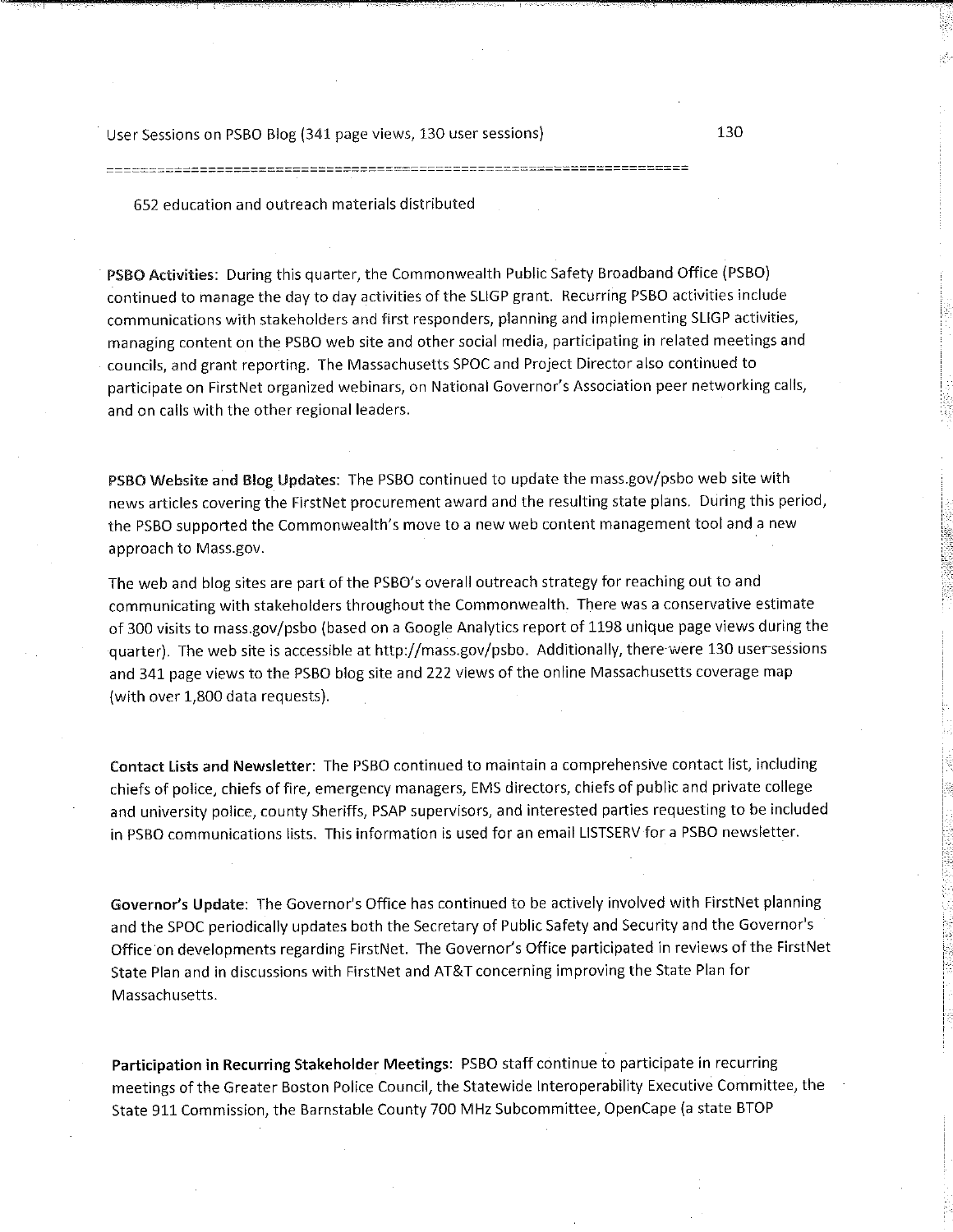User Sessions on PSBO Blog (341 page views, 130 user sessions) 130

652 education and outreach materials distributed

PSBO Activities: During this quarter, the Commonwealth Public Safety Broadband Office (PSBO) continued to manage the day to day activities of the SLIGP grant. Recurring PSBO activities include communications with stakeholders and first responders, planning and implementing SLIGP activities, managing content on the PSBO web site and other social media, participating in related meetings and councils, and grant reporting. The Massachusetts SPOC and Project Director also continued to participate on FirstNet organized webinars, on National Governor's Association peer networking calls, and on calls with the other regional leaders.

PSBO Website and Blog Updates: The PSBO continued to update the mass.gov/psbo web site with news articles covering the FirstNet procurement award and the resulting state plans. During this period, the PSBO supported the Commonwealth's move to a new web content management tool and a new approach to Mass.gov.

The web and blog sites are part of the PSBO's overall outreach strategy for reaching out to and communicating with stakeholders throughout the Commonwealth. There was a conservative estimate of 300 visits to mass.gov/psbo (based on a Google Analytics report of 1198 unique page views during the quarter). The web site is accessible at http://mass.gov/psbo. Additionally, there were 130 user-sessions and 341 page views to the PSBO blog site and 222 views of the online Massachusetts coverage map (with over 1,800 data requests).

Contact Lists and Newsletter: The PSBO continued to maintain a comprehensive contact list, including chiefs of police, chiefs of fire, emergency managers, EMS directors, chiefs of public and private college and university police, county Sheriffs, PSAP supervisors, and interested parties requesting to be included in PSBO communications lists. This information is used for an email LISTSERV for a PSBO newsletter.

**Governor's Update:** The Governor's Office has continued to be actively involved with FirstNet planning and the SPOC periodically updates both the Secretary of Public Safety and Security and the Governor's Office on developments regarding FirstNet. The Governor's Office participated in reviews of the FirstNet State Plan and in discussions with FirstNet and AT&T concerning improving the State Plan for Massachusetts.

**Participation in Recurring Stakeholder Meetings:** PSBO staff continue to participate in recurring meetings of the Greater Boston Police Council, the Statewide Interoperability Executive Committee, the State 911 Commission, the Barnstable County 700 MHz Subcommittee, OpenCape (a state BTOP